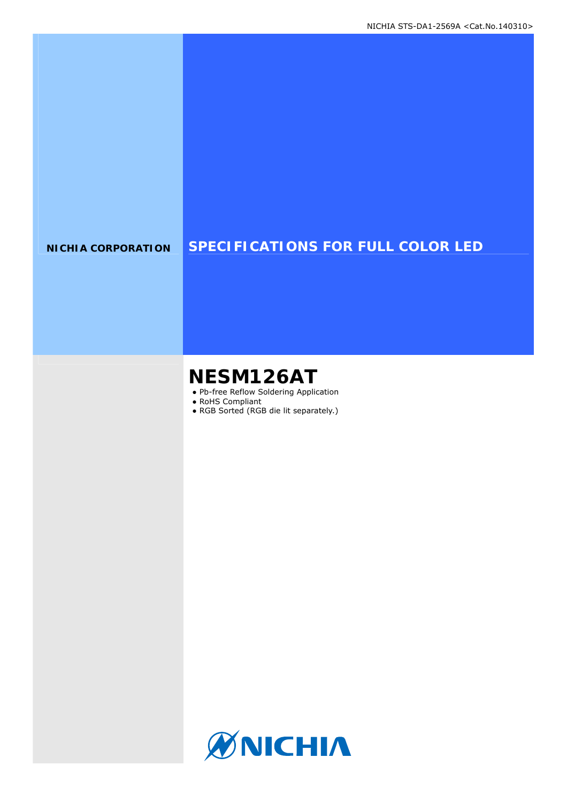# **NICHIA CORPORATION SPECIFICATIONS FOR FULL COLOR LED**

# **NESM126AT**

- Pb-free Reflow Soldering Application
- RoHS Compliant
- RGB Sorted (RGB die lit separately.)

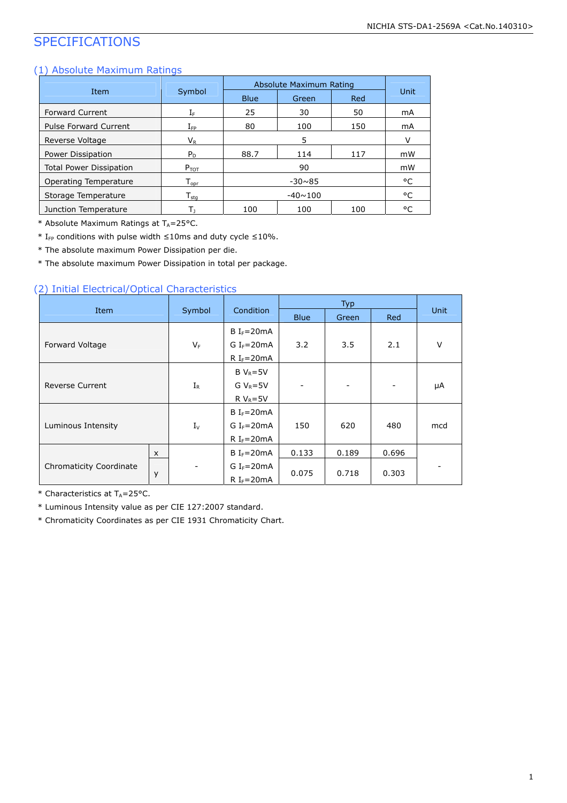# SPECIFICATIONS

### (1) Absolute Maximum Ratings

|                                |                    |             | Absolute Maximum Rating |     |        |  |
|--------------------------------|--------------------|-------------|-------------------------|-----|--------|--|
| Item                           | Symbol             | <b>Blue</b> | Green                   | Red | Unit   |  |
| <b>Forward Current</b>         | ΙF                 | 25          | 30                      | 50  | mA     |  |
| <b>Pulse Forward Current</b>   | $I_{\sf FP}$       | 80          | 100                     | 150 | mA     |  |
| Reverse Voltage                | $V_{R}$            |             | 5                       |     | $\vee$ |  |
| Power Dissipation              | $P_D$              | 88.7        | 114                     | 117 | mW     |  |
| <b>Total Power Dissipation</b> | $P_{TOT}$          |             | 90                      |     | mW     |  |
| <b>Operating Temperature</b>   | $T_{\mathsf{opr}}$ |             | $-30 \times 85$         |     | °C     |  |
| Storage Temperature            | $T_{sta}$          |             | $-40 \sim 100$          |     | °C     |  |
| Junction Temperature           | Tı                 | 100         | 100                     | 100 | °C     |  |

\* Absolute Maximum Ratings at  $T_A = 25^{\circ}$ C.

\* I<sub>FP</sub> conditions with pulse width  $\leq$ 10ms and duty cycle  $\leq$ 10%.

\* The absolute maximum Power Dissipation per die.

\* The absolute maximum Power Dissipation in total per package.

### (2) Initial Electrical/Optical Characteristics

|                                |          |                  |                        |                          | <b>Typ</b>                   |                          |             |
|--------------------------------|----------|------------------|------------------------|--------------------------|------------------------------|--------------------------|-------------|
| Item                           |          | Symbol           | Condition              | <b>Blue</b>              | Green                        | Red                      | <b>Unit</b> |
|                                |          |                  | B $I_F = 20mA$         |                          |                              |                          |             |
| Forward Voltage                |          | $V_F$            | G $I_F = 20mA$         | 3.2                      | 3.5                          | 2.1                      | V           |
|                                |          |                  | R I <sub>F</sub> =20mA |                          |                              |                          |             |
|                                |          |                  | $B V_R = 5V$           |                          |                              |                          |             |
| <b>Reverse Current</b>         |          | $I_{\mathsf{R}}$ | $GV_R = 5V$            | $\overline{\phantom{0}}$ | $\qquad \qquad \blacksquare$ | $\overline{\phantom{a}}$ | μA          |
|                                |          |                  | R $V_R = 5V$           |                          |                              |                          |             |
|                                |          |                  | $B I_f = 20mA$         |                          |                              |                          |             |
| Luminous Intensity             |          | $I_{\vee}$       | G $I_F = 20mA$         | 150                      | 620                          | 480                      | mcd         |
|                                |          |                  | R $I_F = 20mA$         |                          |                              |                          |             |
|                                | $\times$ |                  | $B IF=20mA$            | 0.133                    | 0.189                        | 0.696                    |             |
| <b>Chromaticity Coordinate</b> |          |                  | G $I_F = 20mA$         |                          |                              |                          |             |
|                                | y        |                  | $R IF=20mA$            | 0.075                    | 0.718                        | 0.303                    |             |

 $*$  Characteristics at T<sub>A</sub>=25°C.

\* Luminous Intensity value as per CIE 127:2007 standard.

\* Chromaticity Coordinates as per CIE 1931 Chromaticity Chart.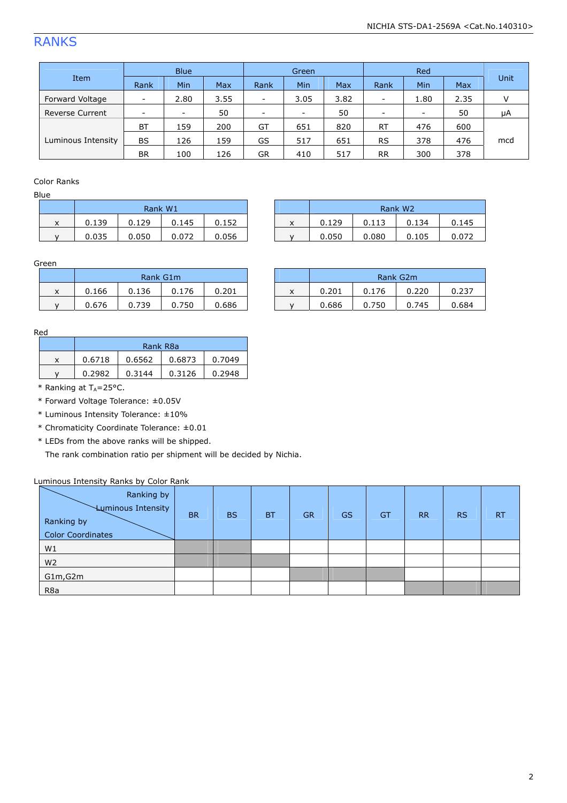# RANKS

|                        |                          | <b>Blue</b>              |      | Green                    |                          |      | Red                      |                          |            |      |
|------------------------|--------------------------|--------------------------|------|--------------------------|--------------------------|------|--------------------------|--------------------------|------------|------|
| Item                   | Rank                     | Min                      | Max  | Rank                     | Min                      | Max  | Rank                     | Min                      | <b>Max</b> | Unit |
| Forward Voltage        | -                        | 2.80                     | 3.55 | $\overline{\phantom{a}}$ | 3.05                     | 3.82 | $\overline{\phantom{m}}$ | 1.80                     | 2.35       |      |
| <b>Reverse Current</b> | $\overline{\phantom{a}}$ | $\overline{\phantom{a}}$ | 50   | $\overline{\phantom{a}}$ | $\overline{\phantom{a}}$ | 50   | $\overline{\phantom{0}}$ | $\overline{\phantom{a}}$ | 50         | μA   |
|                        | <b>BT</b>                | 159                      | 200  | GT                       | 651                      | 820  | <b>RT</b>                | 476                      | 600        |      |
| Luminous Intensity     | <b>BS</b>                | 126                      | 159  | GS                       | 517                      | 651  | <b>RS</b>                | 378                      | 476        | mcd  |
|                        | <b>BR</b>                | 100                      | 126  | GR                       | 410                      | 517  | <b>RR</b>                | 300                      | 378        |      |

#### Color Ranks

Blue

|              | Rank W1 |       |       |       |
|--------------|---------|-------|-------|-------|
| x            | 0.139   | 0.129 | 0.145 | 0.152 |
| $\mathsf{v}$ | 0.035   | 0.050 | 0.072 | 0.056 |

|        | Rank W1 |       |       |       |                   |       |       | Rank W <sub>2</sub> |       |
|--------|---------|-------|-------|-------|-------------------|-------|-------|---------------------|-------|
| v<br>^ | 0.139   | 0.129 | 0.145 | 0.152 | $\checkmark$<br>ㅅ | 0.129 | 0.113 | 0.134               | 0.145 |
|        | 0.035   | 0.050 | 0.072 | 0.056 |                   | 0.050 | 0.080 | 0.105               | 0.072 |

#### Green

|   |       | Rank G1m |       |       |
|---|-------|----------|-------|-------|
| x | 0.166 | 0.136    | 0.176 | 0.201 |
|   | 0.676 | 0.739    | 0.750 | 0.686 |

|   | Rank G1m |       |       |       |                   |       |       | Rank G2m |       |
|---|----------|-------|-------|-------|-------------------|-------|-------|----------|-------|
| x | 0.166    | 0.136 | 0.176 | 0.201 | $\checkmark$<br>ㅅ | 0.201 | 0.176 | 0.220    | 0.237 |
|   | 0.676    | 0.739 | 0.750 | 0.686 |                   | 0.686 | .750  | 0.745    | 0.684 |

#### Red

| Rank R <sub>8</sub> a |        |        |        |  |
|-----------------------|--------|--------|--------|--|
| 0.6718                | 0.6562 | 0.6873 | 0.7049 |  |
| 0.2982                | 0.3144 | 0.3126 | 0.2948 |  |

 $*$  Ranking at T<sub>A</sub>=25°C.

- \* Forward Voltage Tolerance: ±0.05V
- \* Luminous Intensity Tolerance: ±10%

\* Chromaticity Coordinate Tolerance: ±0.01

\* LEDs from the above ranks will be shipped.

The rank combination ratio per shipment will be decided by Nichia.

#### Luminous Intensity Ranks by Color Rank

| Ranking by<br><b>Luminous Intensity</b><br>Ranking by<br><b>Color Coordinates</b> | <b>BR</b> | <b>BS</b> | <b>BT</b> | <b>GR</b> | <b>GS</b> | GT | <b>RR</b> | <b>RS</b> | <b>RT</b> |
|-----------------------------------------------------------------------------------|-----------|-----------|-----------|-----------|-----------|----|-----------|-----------|-----------|
| W1                                                                                |           |           |           |           |           |    |           |           |           |
| W <sub>2</sub>                                                                    |           |           |           |           |           |    |           |           |           |
| G1m, G2m                                                                          |           |           |           |           |           |    |           |           |           |
| R <sub>8</sub> a                                                                  |           |           |           |           |           |    |           |           |           |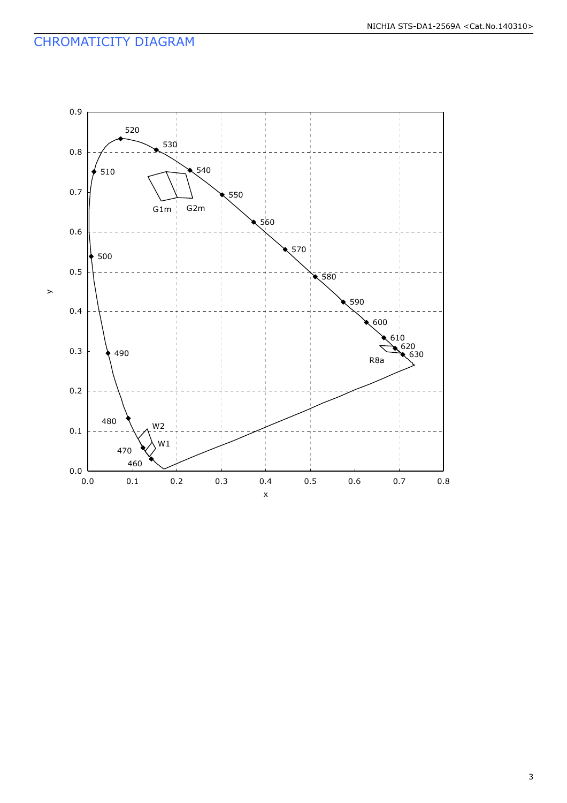# CHROMATICITY DIAGRAM

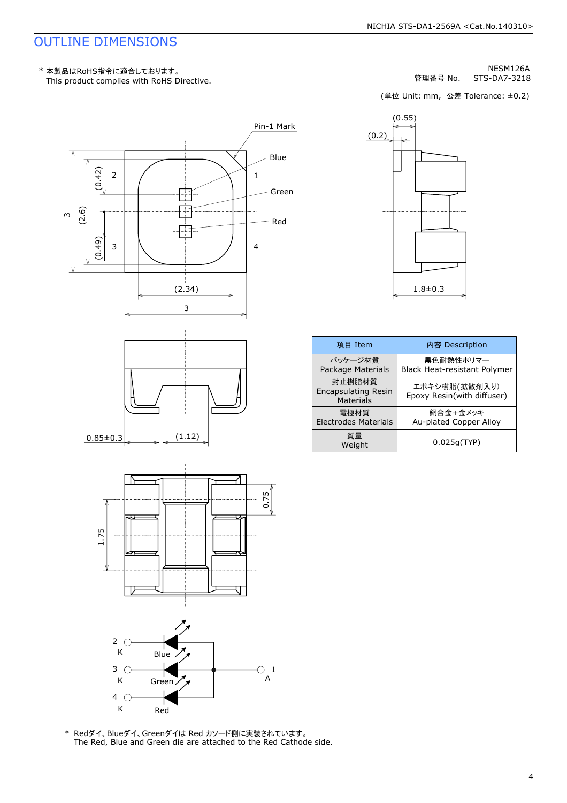# OUTLINE DIMENSIONS

This product complies with RoHS Directive. \* 本製品はRoHS指令に適合しております。

STS-DA7-3218 NESM126A 管理番号 No.

(単位 Unit: mm, 公差 Tolerance: ±0.2)









The Red, Blue and Green die are attached to the Red Cathode side.



|                         |                                            | (単位 Unit: mm, 公差 Tolerance: ±0.2)           |
|-------------------------|--------------------------------------------|---------------------------------------------|
| l Mark<br>Blue<br>Green | (0.2)                                      | (0.55)<br>←                                 |
| Red                     |                                            | $1.8 + 0.3$                                 |
|                         | 項目 Item                                    | 内容 Description                              |
|                         | パッケージ材質<br>Package Materials               | 黒色耐熱性ポリマー<br>Black Heat-resistant Polymer   |
|                         | 封止樹脂材質<br>Encapsulating Resin<br>Materials | エポキシ樹脂(拡散剤入り)<br>Epoxy Resin(with diffuser) |
|                         | 電極材質<br><b>Electrodes Materials</b>        | 銅合金+金メッキ<br>Au-plated Copper Alloy          |
|                         | 質量<br>Weight                               | 0.025g(TYP)                                 |
|                         |                                            |                                             |
| 1                       |                                            |                                             |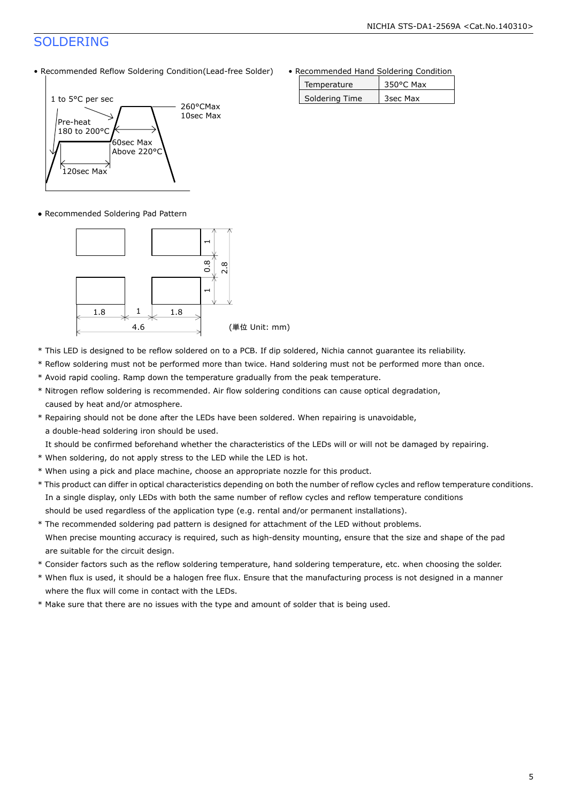# SOLDERING

• Recommended Reflow Soldering Condition(Lead-free Solder)



● Recommended Soldering Pad Pattern



- \* This LED is designed to be reflow soldered on to a PCB. If dip soldered, Nichia cannot guarantee its reliability.
- \* Reflow soldering must not be performed more than twice. Hand soldering must not be performed more than once.
- \* Avoid rapid cooling. Ramp down the temperature gradually from the peak temperature.
- \* Nitrogen reflow soldering is recommended. Air flow soldering conditions can cause optical degradation, caused by heat and/or atmosphere.
- \* Repairing should not be done after the LEDs have been soldered. When repairing is unavoidable,

a double-head soldering iron should be used.

It should be confirmed beforehand whether the characteristics of the LEDs will or will not be damaged by repairing.

- \* When soldering, do not apply stress to the LED while the LED is hot.
- \* When using a pick and place machine, choose an appropriate nozzle for this product.
- \* This product can differ in optical characteristics depending on both the number of reflow cycles and reflow temperature conditions. In a single display, only LEDs with both the same number of reflow cycles and reflow temperature conditions should be used regardless of the application type (e.g. rental and/or permanent installations).
- \* The recommended soldering pad pattern is designed for attachment of the LED without problems. When precise mounting accuracy is required, such as high-density mounting, ensure that the size and shape of the pad are suitable for the circuit design.
- \* Consider factors such as the reflow soldering temperature, hand soldering temperature, etc. when choosing the solder.
- \* When flux is used, it should be a halogen free flux. Ensure that the manufacturing process is not designed in a manner where the flux will come in contact with the LEDs.
- \* Make sure that there are no issues with the type and amount of solder that is being used.

• Recommended Hand Soldering Condition

| Temperature    | $350^{\circ}$ C Max |
|----------------|---------------------|
| Soldering Time | 3sec Max            |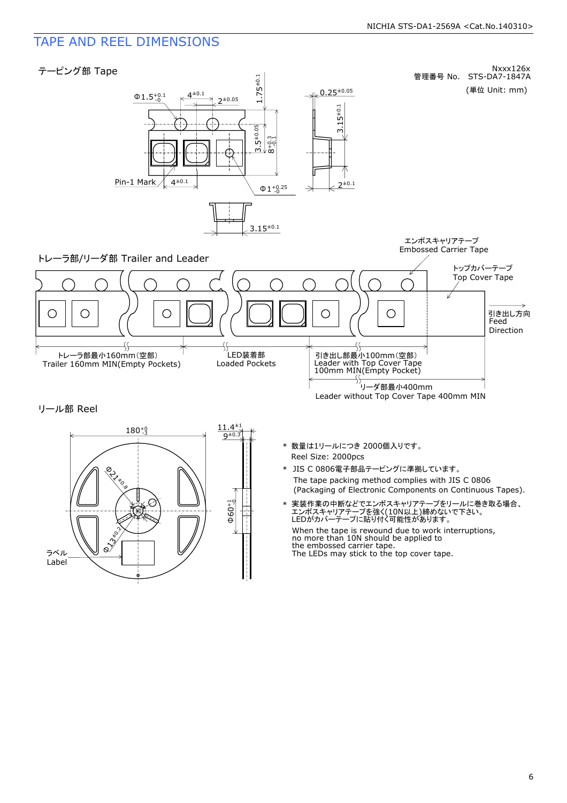# TAPE AND REEL DIMENSIONS



 $\Phi$ 60+1 f:------{-- $\chi^2$ ラベル Label **BAY**<br>RYKO.B **B**<sub>3360</sub>  $\xrightarrow{180^{+0}_{-3}} \qquad \qquad \longrightarrow \qquad \frac{11.4^{+1}}{9^{+0.3}}$  $180^{+9}_{-3}$ 

- Reel Size: 2000pcs \* 数量は1リールにつき 2000個入りです。
- The tape packing method complies with JIS C 0806 (Packaging of Electronic Components on Continuous Tapes). \* JIS C 0806電子部品テーピングに準拠しています。
- \* 実装作業の中断などでエンボスキャリアテープをリールに巻き取る場合、 エンボスキャリアテープを強く(10N以上)締めないで下さい。 LEDがカバーテープに貼り付く可能性があります。

When the tape is rewound due to work interruptions, no more than 10N should be applied to the embossed carrier tape. The LEDs may stick to the top cover tape.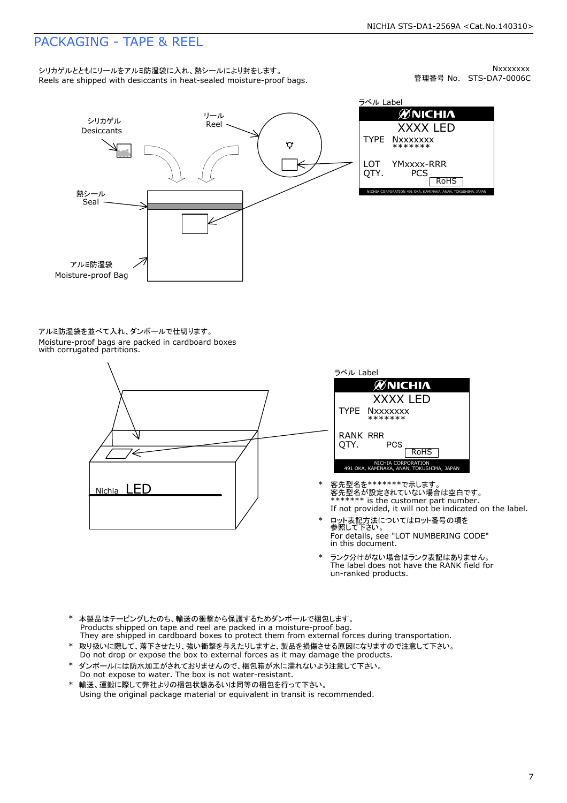## PACKAGING - TAPE & REEL

Reels are shipped with desiccants in heat-sealed moisture-proof bags. シリカゲルとともにリールをアルミ防湿袋に入れ、熱シールにより封をします。

管理番号 No. STS-DA7-0006C **Nxxxxxxx** 



ラベル Label **ØNICHIA** XXXX LED TYPE **Nxxxxxxx** \*\*\*\*\*\*\* LOT YMxxxx-RRR QTY. **PCS** RoHS NICHIA CORPORATION 491 OKA, KAMINAKA, ANAN, TOKUSHIMA, JAPAN

Moisture-proof bags are packed in cardboard boxes with corrugated partitions. アルミ防湿袋を並べて入れ、ダンボールで仕切ります。





- If not provided, it will not be indicated on the label. \*\*\*\*\*\*\* is the customer part number. 客先型名が設定されていない場合は空白です。 \* 客先型名を\*\*\*\*\*\*\*で示します。
- \* ロット表記方法についてはロット番号の項を<br> 参照して下さい。 For details, see "LOT NUMBERING CODE" in this document.
- The label does not have the RANK field for un-ranked products. ランク分けがない場合はランク表記はありません。
- Products shipped on tape and reel are packed in a moisture-proof bag. \* 本製品はテーピングしたのち、輸送の衝撃から保護するためダンボールで梱包します。
- \* 取り扱いに際して、落下させたり、強い衝撃を与えたりしますと、製品を損傷させる原因になりますので注意して下さい。 Do not drop or expose the box to external forces as it may damage the products. They are shipped in cardboard boxes to protect them from external forces during transportation.
- \* ダンボールには防水加工がされておりませんので、梱包箱が水に濡れないよう注意して下さい。 Do not expose to water. The box is not water-resistant.
- \* 輸送、運搬に際して弊社よりの梱包状態あるいは同等の梱包を行って下さい。 Using the original package material or equivalent in transit is recommended.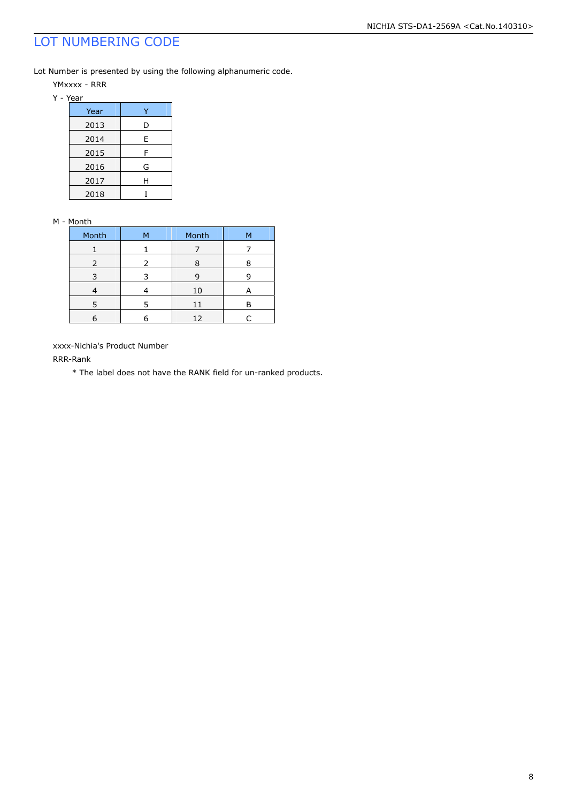# LOT NUMBERING CODE

Lot Number is presented by using the following alphanumeric code.

YMxxxx - RRR

Y - Year

| Year |   |
|------|---|
| 2013 | D |
| 2014 | E |
| 2015 | F |
| 2016 | G |
| 2017 | Н |
| 2018 |   |

#### M - Month

| Month | м | Month | м |
|-------|---|-------|---|
|       |   |       |   |
| 2     | 2 | 8     |   |
| 3     |   | q     |   |
|       |   | 10    |   |
| 5     |   | 11    |   |
|       |   | 12    |   |

xxxx-Nichia's Product Number

RRR-Rank

\* The label does not have the RANK field for un-ranked products.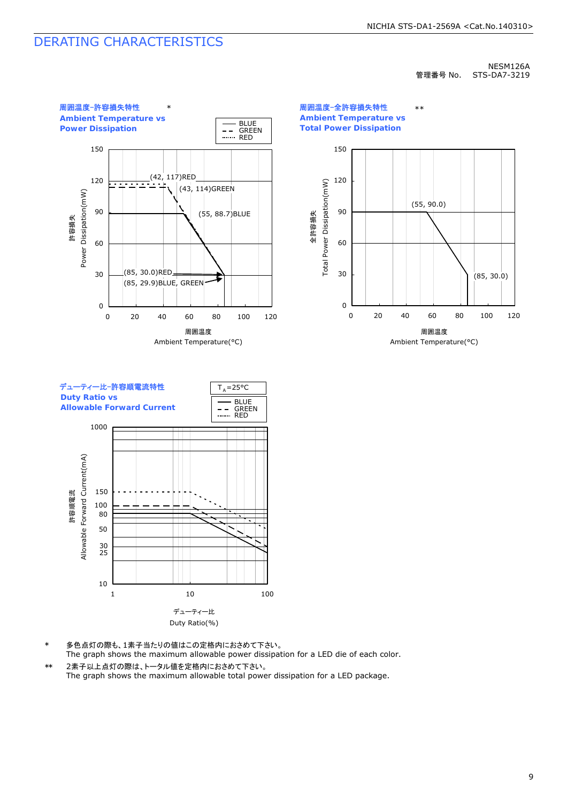# DERATING CHARACTERISTICS

#### NESM126A 管理番号 No. STS-DA7-3219



周囲温度-全許容損失特性 **Ambient Temperature vs Total Power Dissipation** \*\*





- The graph shows the maximum allowable power dissipation for a LED die of each color. 多色点灯の際も、1素子当たりの値はこの定格内におさめて下さい。
- 2素子以上点灯の際は、トータル値を定格内におさめて下さい。 The graph shows the maximum allowable total power dissipation for a LED package. \*\*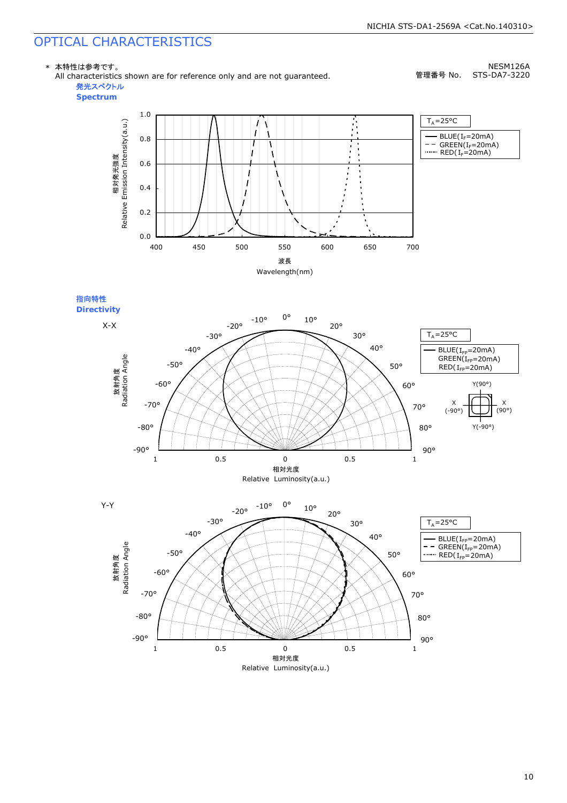# OPTICAL CHARACTERISTICS

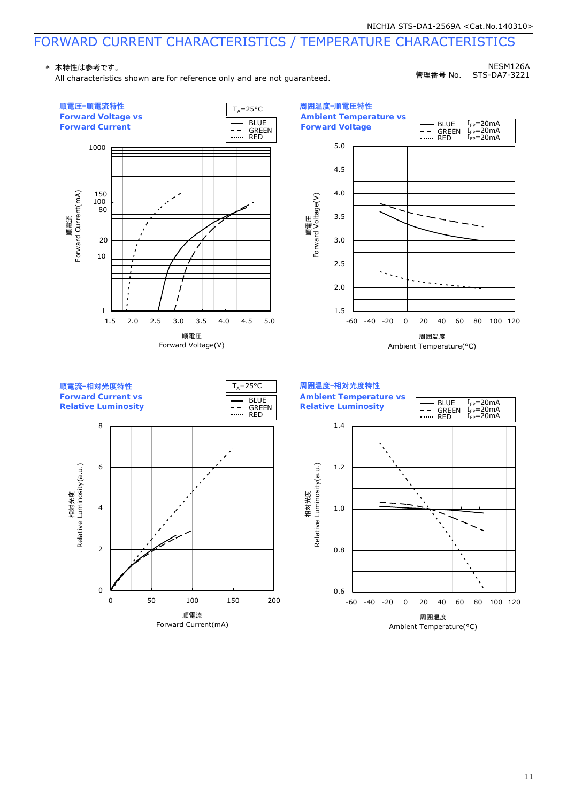# FORWARD CURRENT CHARACTERISTICS / TEMPERATURE CHARACTERISTICS

#### \* 本特性は参考です。

All characteristics shown are for reference only and are not guaranteed.

NESM126A 管理番号 No. STS-DA7-3221

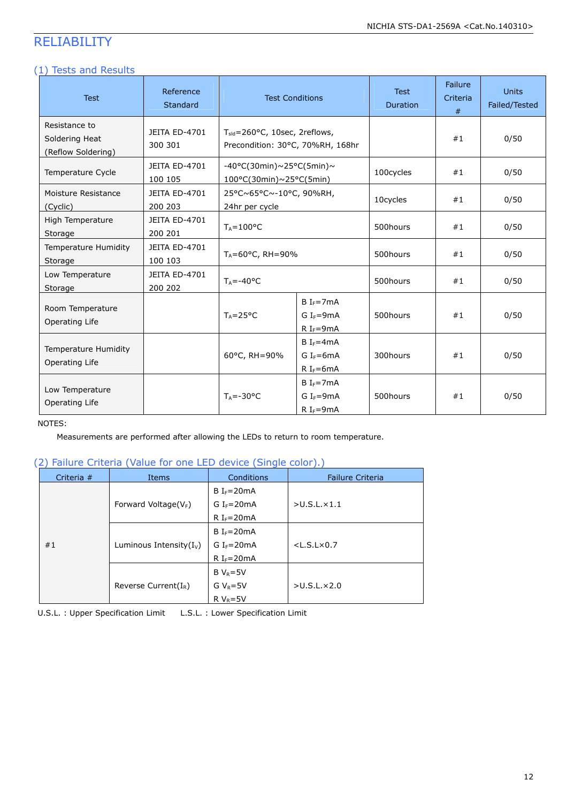# RELIABILITY

### (1) Tests and Results

| <b>Test</b>                                           | Reference<br>Standard           |                                                                        | <b>Test Conditions</b>                               | <b>Test</b><br><b>Duration</b> | Failure<br>Criteria<br>$#$ | <b>Units</b><br>Failed/Tested |
|-------------------------------------------------------|---------------------------------|------------------------------------------------------------------------|------------------------------------------------------|--------------------------------|----------------------------|-------------------------------|
| Resistance to<br>Soldering Heat<br>(Reflow Soldering) | JEITA ED-4701<br>300 301        | $T_{std}$ =260°C, 10sec, 2reflows,<br>Precondition: 30°C, 70%RH, 168hr |                                                      |                                | #1                         | 0/50                          |
| Temperature Cycle                                     | <b>JEITA ED-4701</b><br>100 105 | $-40\degree$ C(30min)~25°C(5min)~<br>$100^{\circ}$ C(30min)~25°C(5min) |                                                      | 100cycles                      | #1                         | 0/50                          |
| Moisture Resistance<br>(Cyclic)                       | JEITA ED-4701<br>200 203        | 25°C~65°C~-10°C, 90%RH,<br>24hr per cycle                              |                                                      | 10cycles                       | #1                         | 0/50                          |
| High Temperature<br>Storage                           | JEITA ED-4701<br>200 201        | $T_A = 100^{\circ}C$                                                   |                                                      | 500hours                       | #1                         | 0/50                          |
| Temperature Humidity<br>Storage                       | JEITA ED-4701<br>100 103        | $T_A = 60^{\circ}$ C, RH = 90%                                         |                                                      | 500hours                       | #1                         | 0/50                          |
| Low Temperature<br>Storage                            | JEITA ED-4701<br>200 202        | $T_A = -40$ °C                                                         |                                                      | 500hours                       | #1                         | 0/50                          |
| Room Temperature<br>Operating Life                    |                                 | $T_A = 25^{\circ}C$                                                    | $B IF=7mA$<br>$G I_F = 9mA$<br>R I <sub>F</sub> =9mA | 500hours                       | #1                         | 0/50                          |
| Temperature Humidity<br>Operating Life                |                                 | 60°C, RH=90%                                                           | $B IF=4mA$<br>G $I_F = 6mA$<br>R I <sub>F</sub> =6mA | 300hours                       | #1                         | 0/50                          |
| Low Temperature<br>Operating Life                     |                                 | $T_A = -30$ °C                                                         | $B IF=7mA$<br>G $I_F = 9mA$<br>R I <sub>F</sub> =9mA | 500hours                       | #1                         | 0/50                          |

#### NOTES:

Measurements are performed after allowing the LEDs to return to room temperature.

### (2) Failure Criteria (Value for one LED device (Single color).)

| Criteria $#$ | Items                      | Conditions             | <b>Failure Criteria</b> |
|--------------|----------------------------|------------------------|-------------------------|
|              |                            | $B IF=20mA$            |                         |
|              | Forward Voltage( $V_F$ )   | G I <sub>F</sub> =20mA | >U.S.L.x1.1             |
|              |                            | R I <sub>F</sub> =20mA |                         |
|              |                            | $B IF=20mA$            |                         |
| #1           | Luminous Intensity $(I_v)$ | G I <sub>F</sub> =20mA | $<$ L.S.L $\times$ 0.7  |
|              |                            | R I <sub>F</sub> =20mA |                         |
|              |                            | $B V_R = 5V$           |                         |
|              | Reverse Current $(I_R)$    | G $V_R = 5V$           | >U.S.L.x2.0             |
|              |                            | $R V_R = 5V$           |                         |

U.S.L. : Upper Specification Limit L.S.L. : Lower Specification Limit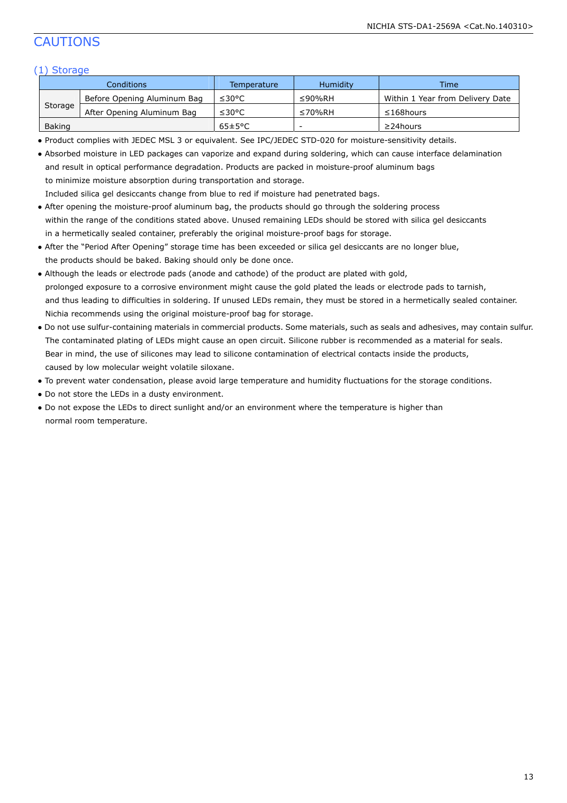# CAUTIONS

### (1) Storage

| Conditions |                             | Temperature          | <b>Humidity</b> | <b>Time</b>                      |
|------------|-----------------------------|----------------------|-----------------|----------------------------------|
| Storage    | Before Opening Aluminum Bag | ≤30°C                | ≤90%RH          | Within 1 Year from Delivery Date |
|            | After Opening Aluminum Bag  | ≤30°C                | ≤70%RH          | $\leq$ 168 hours                 |
| Baking     |                             | $65 \pm 5^{\circ}$ C | -               | $\geq$ 24 hours                  |

● Product complies with JEDEC MSL 3 or equivalent. See IPC/JEDEC STD-020 for moisture-sensitivity details.

| • Absorbed moisture in LED packages can vaporize and expand during soldering, which can cause interface delamination |
|----------------------------------------------------------------------------------------------------------------------|
| and result in optical performance degradation. Products are packed in moisture-proof aluminum bags                   |
| to minimize moisture absorption during transportation and storage.                                                   |
| Included silica gel desiccants change from blue to red if moisture had penetrated bags.                              |

- After opening the moisture-proof aluminum bag, the products should go through the soldering process within the range of the conditions stated above. Unused remaining LEDs should be stored with silica gel desiccants in a hermetically sealed container, preferably the original moisture-proof bags for storage.
- After the "Period After Opening" storage time has been exceeded or silica gel desiccants are no longer blue, the products should be baked. Baking should only be done once.
- Although the leads or electrode pads (anode and cathode) of the product are plated with gold, prolonged exposure to a corrosive environment might cause the gold plated the leads or electrode pads to tarnish, and thus leading to difficulties in soldering. If unused LEDs remain, they must be stored in a hermetically sealed container. Nichia recommends using the original moisture-proof bag for storage.
- Do not use sulfur-containing materials in commercial products. Some materials, such as seals and adhesives, may contain sulfur. The contaminated plating of LEDs might cause an open circuit. Silicone rubber is recommended as a material for seals. Bear in mind, the use of silicones may lead to silicone contamination of electrical contacts inside the products, caused by low molecular weight volatile siloxane.
- To prevent water condensation, please avoid large temperature and humidity fluctuations for the storage conditions.
- Do not store the LEDs in a dusty environment.
- Do not expose the LEDs to direct sunlight and/or an environment where the temperature is higher than normal room temperature.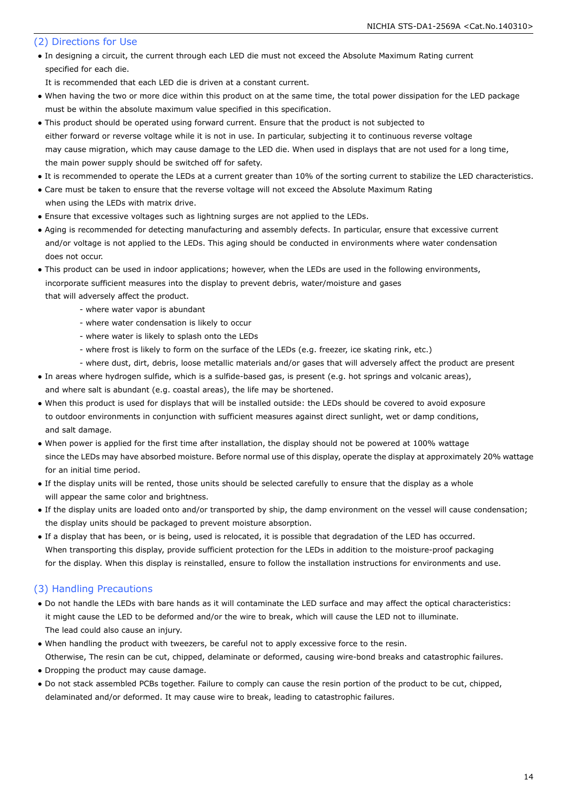#### (2) Directions for Use

- In designing a circuit, the current through each LED die must not exceed the Absolute Maximum Rating current specified for each die.
- It is recommended that each LED die is driven at a constant current.
- When having the two or more dice within this product on at the same time, the total power dissipation for the LED package must be within the absolute maximum value specified in this specification.
- This product should be operated using forward current. Ensure that the product is not subjected to either forward or reverse voltage while it is not in use. In particular, subjecting it to continuous reverse voltage may cause migration, which may cause damage to the LED die. When used in displays that are not used for a long time, the main power supply should be switched off for safety.
- It is recommended to operate the LEDs at a current greater than 10% of the sorting current to stabilize the LED characteristics.
- Care must be taken to ensure that the reverse voltage will not exceed the Absolute Maximum Rating when using the LEDs with matrix drive.
- Ensure that excessive voltages such as lightning surges are not applied to the LEDs.
- Aging is recommended for detecting manufacturing and assembly defects. In particular, ensure that excessive current and/or voltage is not applied to the LEDs. This aging should be conducted in environments where water condensation does not occur.
- This product can be used in indoor applications; however, when the LEDs are used in the following environments, incorporate sufficient measures into the display to prevent debris, water/moisture and gases that will adversely affect the product.
	- where water vapor is abundant
	- where water condensation is likely to occur
	- where water is likely to splash onto the LEDs
	- where frost is likely to form on the surface of the LEDs (e.g. freezer, ice skating rink, etc.)
	- where dust, dirt, debris, loose metallic materials and/or gases that will adversely affect the product are present
- In areas where hydrogen sulfide, which is a sulfide-based gas, is present (e.g. hot springs and volcanic areas), and where salt is abundant (e.g. coastal areas), the life may be shortened.
- When this product is used for displays that will be installed outside: the LEDs should be covered to avoid exposure to outdoor environments in conjunction with sufficient measures against direct sunlight, wet or damp conditions, and salt damage.
- When power is applied for the first time after installation, the display should not be powered at 100% wattage since the LEDs may have absorbed moisture. Before normal use of this display, operate the display at approximately 20% wattage for an initial time period.
- If the display units will be rented, those units should be selected carefully to ensure that the display as a whole will appear the same color and brightness.
- If the display units are loaded onto and/or transported by ship, the damp environment on the vessel will cause condensation; the display units should be packaged to prevent moisture absorption.
- If a display that has been, or is being, used is relocated, it is possible that degradation of the LED has occurred. When transporting this display, provide sufficient protection for the LEDs in addition to the moisture-proof packaging for the display. When this display is reinstalled, ensure to follow the installation instructions for environments and use.

### (3) Handling Precautions

- Do not handle the LEDs with bare hands as it will contaminate the LED surface and may affect the optical characteristics: it might cause the LED to be deformed and/or the wire to break, which will cause the LED not to illuminate. The lead could also cause an injury.
- When handling the product with tweezers, be careful not to apply excessive force to the resin.
- Otherwise, The resin can be cut, chipped, delaminate or deformed, causing wire-bond breaks and catastrophic failures. • Dropping the product may cause damage.
- Do not stack assembled PCBs together. Failure to comply can cause the resin portion of the product to be cut, chipped, delaminated and/or deformed. It may cause wire to break, leading to catastrophic failures.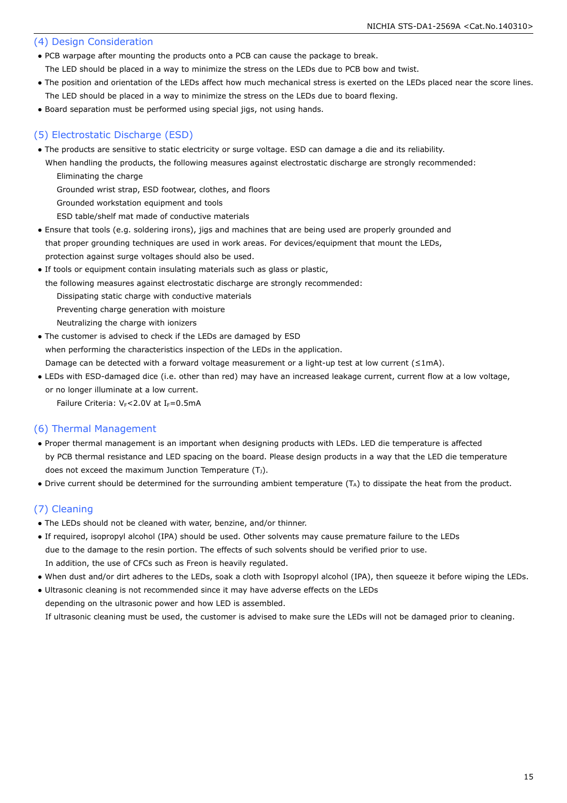#### (4) Design Consideration

● PCB warpage after mounting the products onto a PCB can cause the package to break.

The LED should be placed in a way to minimize the stress on the LEDs due to PCB bow and twist.

- The position and orientation of the LEDs affect how much mechanical stress is exerted on the LEDs placed near the score lines. The LED should be placed in a way to minimize the stress on the LEDs due to board flexing.
- Board separation must be performed using special jigs, not using hands.

### (5) Electrostatic Discharge (ESD)

- The products are sensitive to static electricity or surge voltage. ESD can damage a die and its reliability.
- When handling the products, the following measures against electrostatic discharge are strongly recommended: Eliminating the charge

Grounded wrist strap, ESD footwear, clothes, and floors

Grounded workstation equipment and tools

ESD table/shelf mat made of conductive materials

- Ensure that tools (e.g. soldering irons), jigs and machines that are being used are properly grounded and that proper grounding techniques are used in work areas. For devices/equipment that mount the LEDs, protection against surge voltages should also be used.
- If tools or equipment contain insulating materials such as glass or plastic,
- the following measures against electrostatic discharge are strongly recommended:

Dissipating static charge with conductive materials

Preventing charge generation with moisture

- Neutralizing the charge with ionizers
- The customer is advised to check if the LEDs are damaged by ESD when performing the characteristics inspection of the LEDs in the application. Damage can be detected with a forward voltage measurement or a light-up test at low current (≤1mA).
- LEDs with ESD-damaged dice (i.e. other than red) may have an increased leakage current, current flow at a low voltage, or no longer illuminate at a low current.

Failure Criteria:  $V_F$ <2.0V at I $_F$ =0.5mA

#### (6) Thermal Management

- Proper thermal management is an important when designing products with LEDs. LED die temperature is affected by PCB thermal resistance and LED spacing on the board. Please design products in a way that the LED die temperature does not exceed the maximum Junction Temperature  $(T_1)$ .
- Drive current should be determined for the surrounding ambient temperature (TA) to dissipate the heat from the product.

### (7) Cleaning

- The LEDs should not be cleaned with water, benzine, and/or thinner.
- If required, isopropyl alcohol (IPA) should be used. Other solvents may cause premature failure to the LEDs due to the damage to the resin portion. The effects of such solvents should be verified prior to use. In addition, the use of CFCs such as Freon is heavily regulated.
- When dust and/or dirt adheres to the LEDs, soak a cloth with Isopropyl alcohol (IPA), then squeeze it before wiping the LEDs.

● Ultrasonic cleaning is not recommended since it may have adverse effects on the LEDs depending on the ultrasonic power and how LED is assembled.

If ultrasonic cleaning must be used, the customer is advised to make sure the LEDs will not be damaged prior to cleaning.